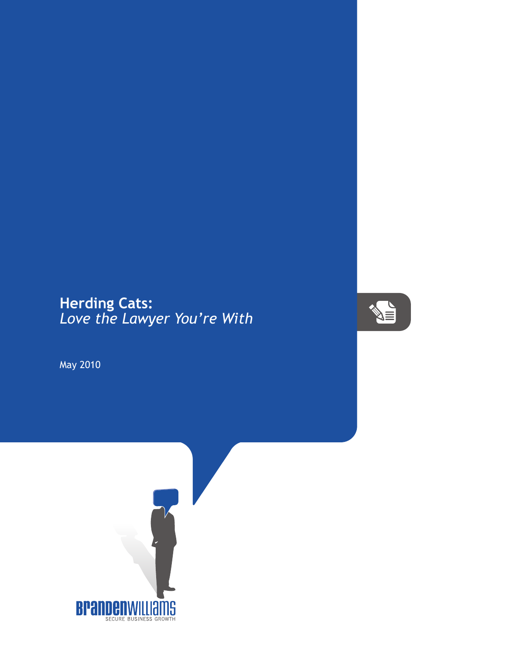## **Herding Cats:** *Love the Lawyer You're With*



May 2010

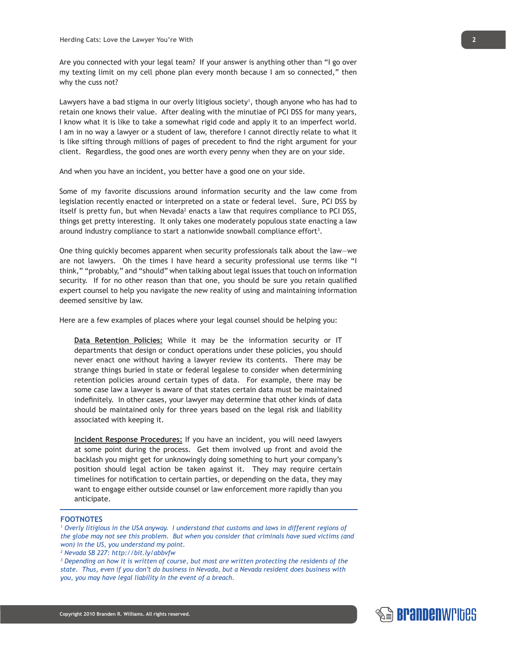Are you connected with your legal team? If your answer is anything other than "I go over my texting limit on my cell phone plan every month because I am so connected," then why the cuss not?

Lawyers have a bad stigma in our overly litigious society<sup>1</sup>, though anyone who has had to retain one knows their value. After dealing with the minutiae of PCI DSS for many years, I know what it is like to take a somewhat rigid code and apply it to an imperfect world. I am in no way a lawyer or a student of law, therefore I cannot directly relate to what it is like sifting through millions of pages of precedent to find the right argument for your client. Regardless, the good ones are worth every penny when they are on your side.

And when you have an incident, you better have a good one on your side.

Some of my favorite discussions around information security and the law come from legislation recently enacted or interpreted on a state or federal level. Sure, PCI DSS by itself is pretty fun, but when Nevada<sup>2</sup> enacts a law that requires compliance to PCI DSS, things get pretty interesting. It only takes one moderately populous state enacting a law around industry compliance to start a nationwide snowball compliance effort<sup>3</sup>.

One thing quickly becomes apparent when security professionals talk about the law—we are not lawyers. Oh the times I have heard a security professional use terms like "I think," "probably," and "should" when talking about legal issues that touch on information security. If for no other reason than that one, you should be sure you retain qualified expert counsel to help you navigate the new reality of using and maintaining information deemed sensitive by law.

Here are a few examples of places where your legal counsel should be helping you:

**Data Retention Policies:** While it may be the information security or IT departments that design or conduct operations under these policies, you should never enact one without having a lawyer review its contents. There may be strange things buried in state or federal legalese to consider when determining retention policies around certain types of data. For example, there may be some case law a lawyer is aware of that states certain data must be maintained indefinitely. In other cases, your lawyer may determine that other kinds of data should be maintained only for three years based on the legal risk and liability associated with keeping it.

**Incident Response Procedures:** If you have an incident, you will need lawyers at some point during the process. Get them involved up front and avoid the backlash you might get for unknowingly doing something to hurt your company's position should legal action be taken against it. They may require certain timelines for notification to certain parties, or depending on the data, they may want to engage either outside counsel or law enforcement more rapidly than you anticipate.

## **FOOTNOTES**

<sup>1</sup> Overly litigious in the USA anyway. I understand that customs and laws in different regions of *the globe may not see this problem. But when you consider that criminals have sued victims (and won) in the US, you understand my point.*

*3 Depending on how it is written of course, but most are written protecting the residents of the state. Thus, even if you don't do business in Nevada, but a Nevada resident does business with you, you may have legal liability in the event of a breach.*

*<sup>2</sup> Nevada SB 227: http://bit.ly/abbvfw*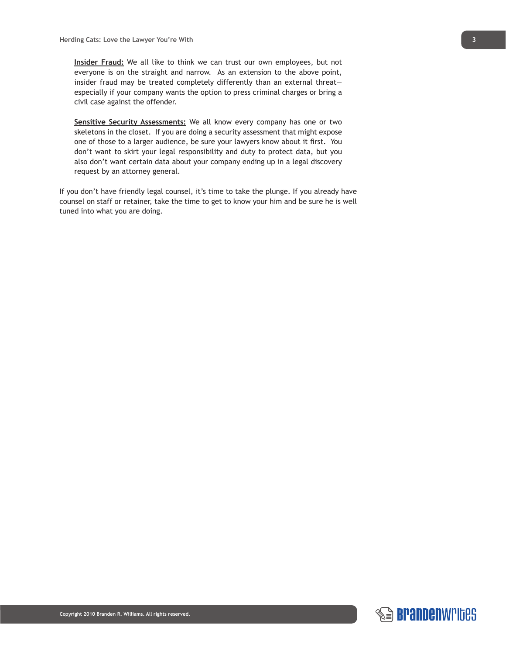**Insider Fraud:** We all like to think we can trust our own employees, but not everyone is on the straight and narrow. As an extension to the above point, insider fraud may be treated completely differently than an external threat especially if your company wants the option to press criminal charges or bring a civil case against the offender.

**Sensitive Security Assessments:** We all know every company has one or two skeletons in the closet. If you are doing a security assessment that might expose one of those to a larger audience, be sure your lawyers know about it first. You don't want to skirt your legal responsibility and duty to protect data, but you also don't want certain data about your company ending up in a legal discovery request by an attorney general.

If you don't have friendly legal counsel, it's time to take the plunge. If you already have counsel on staff or retainer, take the time to get to know your him and be sure he is well tuned into what you are doing.